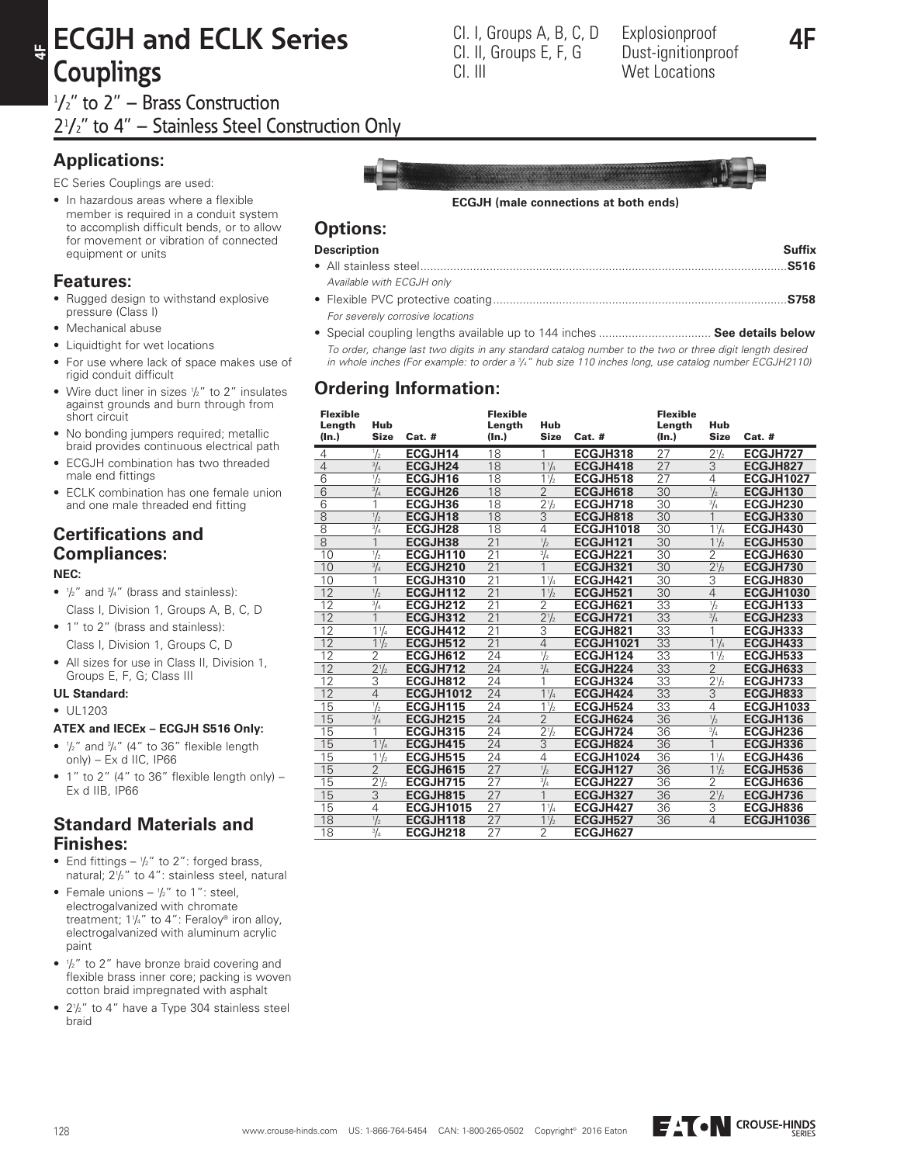# **ECGJH and ECLK Series Couplings**  $1/2$ " to 2" – Brass Construction

21 /2" to 4" – Stainless Steel Construction Only

# **Applications:**

**4F**

EC Series Couplings are used:

• In hazardous areas where a flexible member is required in a conduit system to accomplish difficult bends, or to allow for movement or vibration of connected equipment or units

## **Features:**

- Rugged design to withstand explosive pressure (Class I)
- Mechanical abuse
- Liquidtight for wet locations
- For use where lack of space makes use of rigid conduit difficult
- Wire duct liner in sizes  $\frac{1}{2}$ " to 2" insulates against grounds and burn through from short circuit
- No bonding jumpers required; metallic braid provides continuous electrical path
- ECGJH combination has two threaded male end fittings
- ECLK combination has one female union and one male threaded end fitting

# **Certifications and Compliances:**

#### **NEC:**

- $\bullet$   $\frac{1}{2}$ " and  $\frac{3}{4}$ " (brass and stainless): Class I, Division 1, Groups A, B, C, D
- 1" to 2" (brass and stainless): Class I, Division 1, Groups C, D
- All sizes for use in Class II, Division 1, Groups E, F, G; Class III

### **UL Standard:**

 $• 1111203$ 

#### **ATEX and IECEx – ECGJH S516 Only:**

- $\frac{1}{2}$ " and  $\frac{3}{4}$ " (4" to 36" flexible length only) – Ex d IIC, IP66
- $\bullet$  1" to 2" (4" to 36" flexible length only) Ex d IIB, IP66

### **Standard Materials and Finishes:**

- End fittings  $\frac{1}{2}$ " to 2": forged brass, natural; 2<sup>1</sup> /2" to 4": stainless steel, natural
- Female unions  $-\frac{1}{2}$ " to 1": steel, electrogalvanized with chromate treatment; 11/4" to 4": Feraloy® iron alloy, electrogalvanized with aluminum acrylic paint
- $\bullet$   $\frac{1}{2}$ " to 2" have bronze braid covering and flexible brass inner core; packing is woven cotton braid impregnated with asphalt
- 2<sup>1</sup> /2" to 4" have a Type 304 stainless steel braid

#### **ECGJH (male connections at both ends)**

### **Options:**

#### **Description Suffix**

- All stainless steel...............................................................................................................**S516** *Available with ECGJH only* • Flexible PVC protective coating.........................................................................................**S758**
- *For severely corrosive locations*
- Special coupling lengths available up to 144 inches .................................. **See details below**  *To order, change last two digits in any standard catalog number to the two or three digit length desired in whole inches (For example: to order a 3 /4" hub size 110 inches long, use catalog number ECGJH2110)*

## **Ordering Information:**

| <b>Flexible</b><br>Length<br>(ln.) | Hub<br><b>Size</b> | $Cat.$ #         | <b>Flexible</b><br>Length<br>(In.) | Hub<br><b>Size</b>            | $Cat.$ #         | <b>Flexible</b><br>Length<br>$(\ln.)$ | Hub<br><b>Size</b> | $Cat.$ #         |
|------------------------------------|--------------------|------------------|------------------------------------|-------------------------------|------------------|---------------------------------------|--------------------|------------------|
| 4                                  | $\frac{1}{2}$      | ECGJH14          | 18                                 | 1                             | ECGJH318         | 27                                    | $2^{1/2}$          | ECGJH727         |
| $\overline{4}$                     | $^{3}/_{4}$        | <b>ECGJH24</b>   | 18                                 | $1\frac{1}{4}$                | ECGJH418         | 27                                    | $\overline{3}$     | ECGJH827         |
| $\overline{6}$                     | $\frac{1}{2}$      | ECGJH16          | 18                                 | $1\frac{1}{2}$                | ECGJH518         | 27                                    | 4                  | <b>ECGJH1027</b> |
| 6                                  | $^{3}/_{4}$        | <b>ECGJH26</b>   | 18                                 | $\overline{2}$                | ECGJH618         | 30                                    | $\frac{1}{2}$      | ECGJH130         |
| 6                                  | 1                  | ECGJH36          | 18                                 | 2 <sup>1</sup> / <sub>2</sub> | ECGJH718         | 30                                    | $\frac{3}{4}$      | ECGJH230         |
| $\overline{8}$                     | $\frac{1}{2}$      | ECGJH18          | 18                                 | $\overline{3}$                | ECGJH818         | 30                                    | 1                  | ECGJH330         |
| $\overline{8}$                     | $^{3}/_{4}$        | ECGJH28          | 18                                 | $\overline{4}$                | <b>ECGJH1018</b> | 30                                    | $1\frac{1}{4}$     | ECGJH430         |
| $\overline{8}$                     | 1                  | ECGJH38          | $\overline{21}$                    | $\frac{1}{2}$                 | ECGJH121         | $\overline{30}$                       | $1\frac{1}{2}$     | ECGJH530         |
| 10                                 | $\frac{1}{2}$      | ECGJH110         | $\overline{21}$                    | $^{3}/_{4}$                   | ECGJH221         | 30                                    | $\overline{2}$     | ECGJH630         |
| 10                                 | $^{3}/_{4}$        | ECGJH210         | 21                                 | 1                             | ECGJH321         | 30                                    | $2^{1/2}$          | ECGJH730         |
| 10                                 | 1                  | ECGJH310         | $\overline{21}$                    | $1\frac{1}{4}$                | ECGJH421         | 30                                    | 3                  | ECGJH830         |
| 12                                 | $\frac{1}{2}$      | ECGJH112         | $\overline{21}$                    | $1\frac{1}{2}$                | ECGJH521         | 30                                    | $\overline{4}$     | <b>ECGJH1030</b> |
| 12                                 | $^{3}/_{4}$        | ECGJH212         | 21                                 | $\overline{2}$                | ECGJH621         | 33                                    | $\frac{1}{2}$      | ECGJH133         |
| $\overline{12}$                    |                    | ECGJH312         | $\overline{21}$                    | $2^{1/2}$                     | ECGJH721         | $\overline{33}$                       | $^{3}/_{4}$        | ECGJH233         |
| 12                                 | $1\frac{1}{4}$     | ECGJH412         | $\overline{21}$                    | $\overline{3}$                | ECGJH821         | 33                                    | 1                  | ECGJH333         |
| 12                                 | $1\frac{1}{2}$     | ECGJH512         | 21                                 | $\overline{4}$                | <b>ECGJH1021</b> | 33                                    | $1\frac{1}{4}$     | ECGJH433         |
| $\overline{12}$                    | $\overline{2}$     | ECGJH612         | 24                                 | $\frac{1}{2}$                 | ECGJH124         | $\overline{33}$                       | $1\frac{1}{2}$     | ECGJH533         |
| 12                                 | $2^{1/2}$          | ECGJH712         | 24                                 | $^{3}/_{4}$                   | ECGJH224         | $\overline{33}$                       | $\overline{2}$     | ECGJH633         |
| 12                                 | 3                  | ECGJH812         | 24                                 | 1                             | ECGJH324         | 33                                    | $2^{1/2}$          | ECGJH733         |
| $\overline{12}$                    | $\overline{4}$     | <b>ECGJH1012</b> | 24                                 | $1\frac{1}{4}$                | ECGJH424         | $\overline{33}$                       | $\overline{3}$     | ECGJH833         |
| 15                                 | $\frac{1}{2}$      | ECGJH115         | 24                                 | $1\frac{1}{2}$                | ECGJH524         | 33                                    | $\overline{4}$     | <b>ECGJH1033</b> |
| 15                                 | $^{3}/_{4}$        | ECGJH215         | 24                                 | $\overline{2}$                | ECGJH624         | 36                                    | $\frac{1}{2}$      | ECGJH136         |
| 15                                 | 1                  | ECGJH315         | 24                                 | $2^{1/2}$                     | ECGJH724         | 36                                    | $^{3}/_{4}$        | ECGJH236         |
| 15                                 | $1\frac{1}{4}$     | ECGJH415         | 24                                 | $\overline{3}$                | ECGJH824         | 36                                    | $\mathbf{1}$       | ECGJH336         |
| 15                                 | $1\frac{1}{2}$     | ECGJH515         | 24                                 | 4                             | ECGJH1024        | 36                                    | $1\frac{1}{4}$     | ECGJH436         |
| 15                                 | $\overline{2}$     | ECGJH615         | $\overline{27}$                    | $\frac{1}{2}$                 | ECGJH127         | 36                                    | $1\frac{1}{2}$     | ECGJH536         |
| 15                                 | $2^{1/2}$          | ECGJH715         | 27                                 | $^{3}/_{4}$                   | ECGJH227         | 36                                    | $\overline{2}$     | ECGJH636         |
| 15                                 | 3                  | ECGJH815         | 27                                 | 1                             | ECGJH327         | 36                                    | $2^{1/2}$          | ECGJH736         |
| 15                                 | 4                  | <b>ECGJH1015</b> | 27                                 | $1\frac{1}{4}$                | ECGJH427         | 36                                    | 3                  | ECGJH836         |
| $\overline{18}$                    | $\frac{1}{2}$      | ECGJH118         | 27                                 | $1\frac{1}{2}$                | ECGJH527         | 36                                    | 4                  | <b>ECGJH1036</b> |
| 18                                 | $^{3}/_{4}$        | ECGJH218         | 27                                 | $\overline{2}$                | ECGJH627         |                                       |                    |                  |





Explosionproof Dust-ignitionproof Wet Locations

Cl. I, Groups A, B, C, D Cl. II, Groups E, F, G

Cl. III